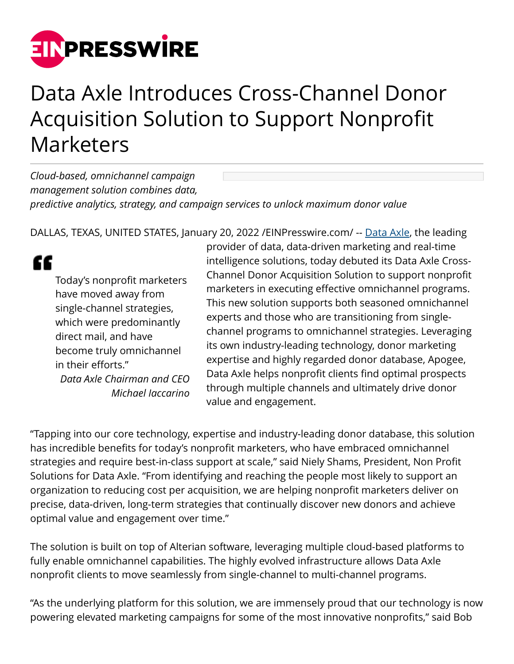

## Data Axle Introduces Cross-Channel Donor Acquisition Solution to Support Nonprofit Marketers

*Cloud-based, omnichannel campaign management solution combines data, predictive analytics, strategy, and campaign services to unlock maximum donor value*

DALLAS, TEXAS, UNITED STATES, January 20, 2022 / EINPresswire.com/ -- [Data Axle](https://www.data-axle.com/), the leading

## ££

Today's nonprofit marketers have moved away from single-channel strategies, which were predominantly direct mail, and have become truly omnichannel in their efforts." *Data Axle Chairman and CEO Michael Iaccarino*

provider of data, data-driven marketing and real-time intelligence solutions, today debuted its Data Axle Cross-Channel Donor Acquisition Solution to support nonprofit marketers in executing effective omnichannel programs. This new solution supports both seasoned omnichannel experts and those who are transitioning from singlechannel programs to omnichannel strategies. Leveraging its own industry-leading technology, donor marketing expertise and highly regarded donor database, Apogee, Data Axle helps nonprofit clients find optimal prospects through multiple channels and ultimately drive donor value and engagement.

"Tapping into our core technology, expertise and industry-leading donor database, this solution has incredible benefits for today's nonprofit marketers, who have embraced omnichannel strategies and require best-in-class support at scale," said Niely Shams, President, Non Profit Solutions for Data Axle. "From identifying and reaching the people most likely to support an organization to reducing cost per acquisition, we are helping nonprofit marketers deliver on precise, data-driven, long-term strategies that continually discover new donors and achieve optimal value and engagement over time."

The solution is built on top of Alterian software, leveraging multiple cloud-based platforms to fully enable omnichannel capabilities. The highly evolved infrastructure allows Data Axle nonprofit clients to move seamlessly from single-channel to multi-channel programs.

"As the underlying platform for this solution, we are immensely proud that our technology is now powering elevated marketing campaigns for some of the most innovative nonprofits," said Bob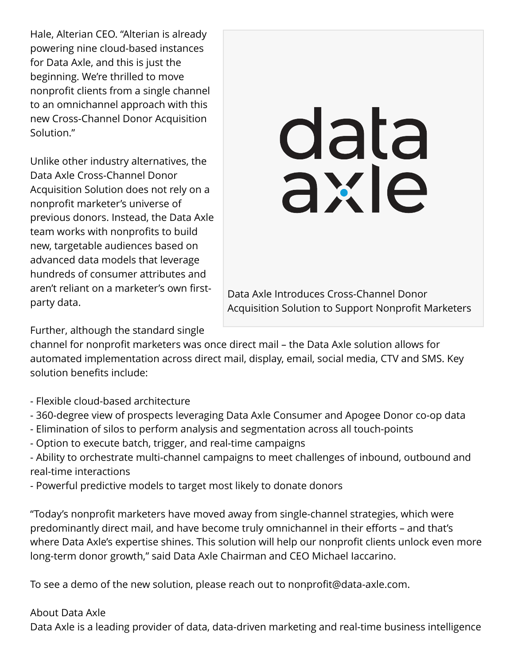Hale, Alterian CEO. "Alterian is already powering nine cloud-based instances for Data Axle, and this is just the beginning. We're thrilled to move nonprofit clients from a single channel to an omnichannel approach with this new Cross-Channel Donor Acquisition Solution."

Unlike other industry alternatives, the Data Axle Cross-Channel Donor Acquisition Solution does not rely on a nonprofit marketer's universe of previous donors. Instead, the Data Axle team works with nonprofits to build new, targetable audiences based on advanced data models that leverage hundreds of consumer attributes and aren't reliant on a marketer's own firstparty data.

## data

Data Axle Introduces Cross-Channel Donor Acquisition Solution to Support Nonprofit Marketers

Further, although the standard single

channel for nonprofit marketers was once direct mail – the Data Axle solution allows for automated implementation across direct mail, display, email, social media, CTV and SMS. Key solution benefits include:

- Flexible cloud-based architecture
- 360-degree view of prospects leveraging Data Axle Consumer and Apogee Donor co-op data
- Elimination of silos to perform analysis and segmentation across all touch-points
- Option to execute batch, trigger, and real-time campaigns
- Ability to orchestrate multi-channel campaigns to meet challenges of inbound, outbound and real-time interactions
- Powerful predictive models to target most likely to donate donors

"Today's nonprofit marketers have moved away from single-channel strategies, which were predominantly direct mail, and have become truly omnichannel in their efforts – and that's where Data Axle's expertise shines. This solution will help our nonprofit clients unlock even more long-term donor growth," said Data Axle Chairman and CEO Michael Iaccarino.

To see a demo of the new solution, please reach out to nonprofit@data-axle.com.

## About Data Axle

Data Axle is a leading provider of data, data-driven marketing and real-time business intelligence